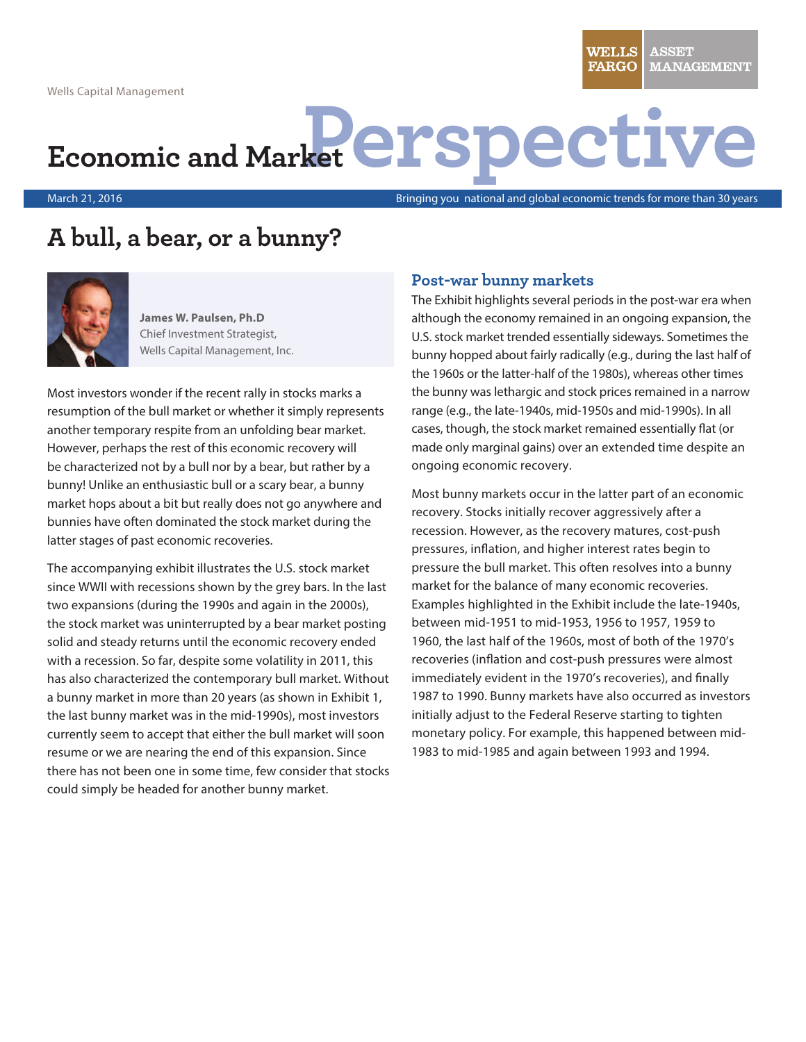WELLS **ASSET FARGO MANAGEMENT** 

# **Economic and Market erspective**

March 21, 2016

Bringing you national and global economic trends for more than 30 years

## **A bull, a bear, or a bunny?**



**James W. Paulsen, Ph.D** Chief Investment Strategist, Wells Capital Management, Inc.

Most investors wonder if the recent rally in stocks marks a resumption of the bull market or whether it simply represents another temporary respite from an unfolding bear market. However, perhaps the rest of this economic recovery will be characterized not by a bull nor by a bear, but rather by a bunny! Unlike an enthusiastic bull or a scary bear, a bunny market hops about a bit but really does not go anywhere and bunnies have often dominated the stock market during the latter stages of past economic recoveries.

The accompanying exhibit illustrates the U.S. stock market since WWII with recessions shown by the grey bars. In the last two expansions (during the 1990s and again in the 2000s), the stock market was uninterrupted by a bear market posting solid and steady returns until the economic recovery ended with a recession. So far, despite some volatility in 2011, this has also characterized the contemporary bull market. Without a bunny market in more than 20 years (as shown in Exhibit 1, the last bunny market was in the mid-1990s), most investors currently seem to accept that either the bull market will soon resume or we are nearing the end of this expansion. Since there has not been one in some time, few consider that stocks could simply be headed for another bunny market.

#### **Post-war bunny markets**

The Exhibit highlights several periods in the post-war era when although the economy remained in an ongoing expansion, the U.S. stock market trended essentially sideways. Sometimes the bunny hopped about fairly radically (e.g., during the last half of the 1960s or the latter-half of the 1980s), whereas other times the bunny was lethargic and stock prices remained in a narrow range (e.g., the late-1940s, mid-1950s and mid-1990s). In all cases, though, the stock market remained essentially flat (or made only marginal gains) over an extended time despite an ongoing economic recovery.

Most bunny markets occur in the latter part of an economic recovery. Stocks initially recover aggressively after a recession. However, as the recovery matures, cost-push pressures, inflation, and higher interest rates begin to pressure the bull market. This often resolves into a bunny market for the balance of many economic recoveries. Examples highlighted in the Exhibit include the late-1940s, between mid-1951 to mid-1953, 1956 to 1957, 1959 to 1960, the last half of the 1960s, most of both of the 1970's recoveries (inflation and cost-push pressures were almost immediately evident in the 1970's recoveries), and finally 1987 to 1990. Bunny markets have also occurred as investors initially adjust to the Federal Reserve starting to tighten monetary policy. For example, this happened between mid-1983 to mid-1985 and again between 1993 and 1994.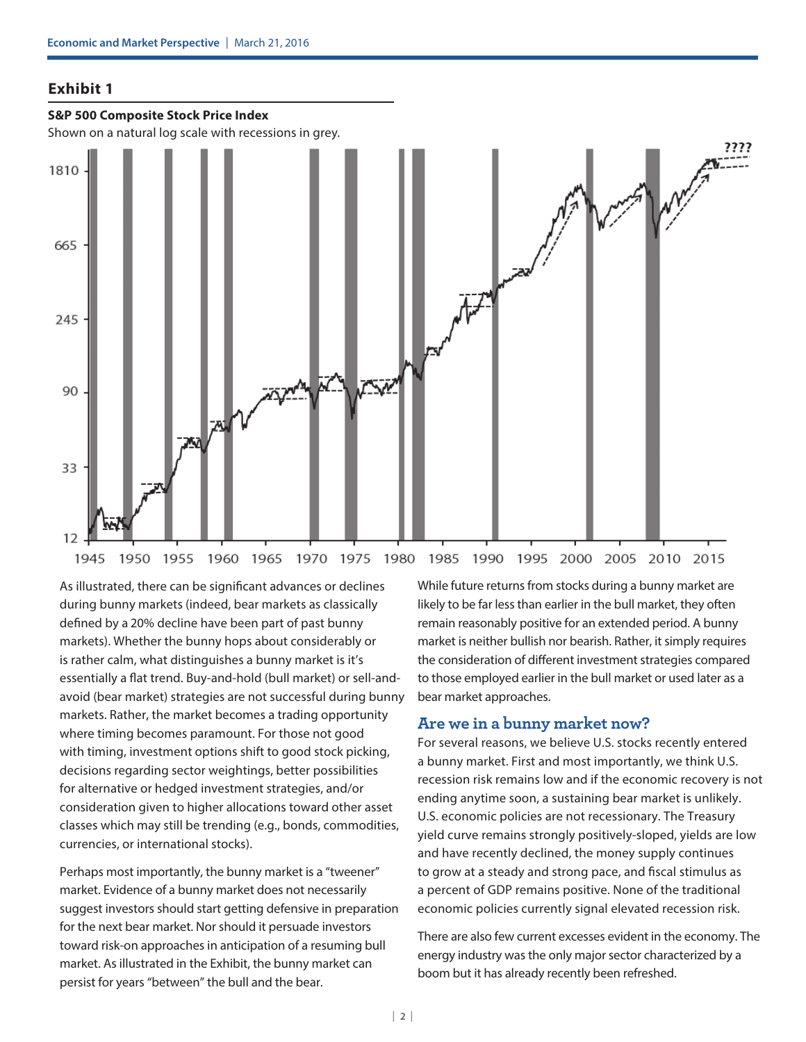#### **Exhibit 1**

#### **S&P 500 Composite Stock Price Index**

Shown on a natural log scale with recessions in grey.



As illustrated, there can be significant advances or declines during bunny markets (indeed, bear markets as classically defined by a 20% decline have been part of past bunny markets). Whether the bunny hops about considerably or is rather calm, what distinguishes a bunny market is it's essentially a flat trend. Buy-and-hold (bull market) or sell-andavoid (bear market) strategies are not successful during bunny markets. Rather, the market becomes a trading opportunity where timing becomes paramount. For those not good with timing, investment options shift to good stock picking, decisions regarding sector weightings, better possibilities for alternative or hedged investment strategies, and/or consideration given to higher allocations toward other asset classes which may still be trending (e.g., bonds, commodities, currencies, or international stocks).

Perhaps most importantly, the bunny market is a "tweener" market. Evidence of a bunny market does not necessarily suggest investors should start getting defensive in preparation for the next bear market. Nor should it persuade investors toward risk-on approaches in anticipation of a resuming bull market. As illustrated in the Exhibit, the bunny market can persist for years "between" the bull and the bear.

While future returns from stocks during a bunny market are likely to be far less than earlier in the bull market, they often remain reasonably positive for an extended period. A bunny market is neither bullish nor bearish. Rather, it simply requires the consideration of different investment strategies compared to those employed earlier in the bull market or used later as a bear market approaches.

#### **Are we in a bunny market now?**

For several reasons, we believe U.S. stocks recently entered a bunny market. First and most importantly, we think U.S. recession risk remains low and if the economic recovery is not ending anytime soon, a sustaining bear market is unlikely. U.S. economic policies are not recessionary. The Treasury yield curve remains strongly positively-sloped, yields are low and have recently declined, the money supply continues to grow at a steady and strong pace, and fiscal stimulus as a percent of GDP remains positive. None of the traditional economic policies currently signal elevated recession risk.

There are also few current excesses evident in the economy. The energy industry was the only major sector characterized by a boom but it has already recently been refreshed.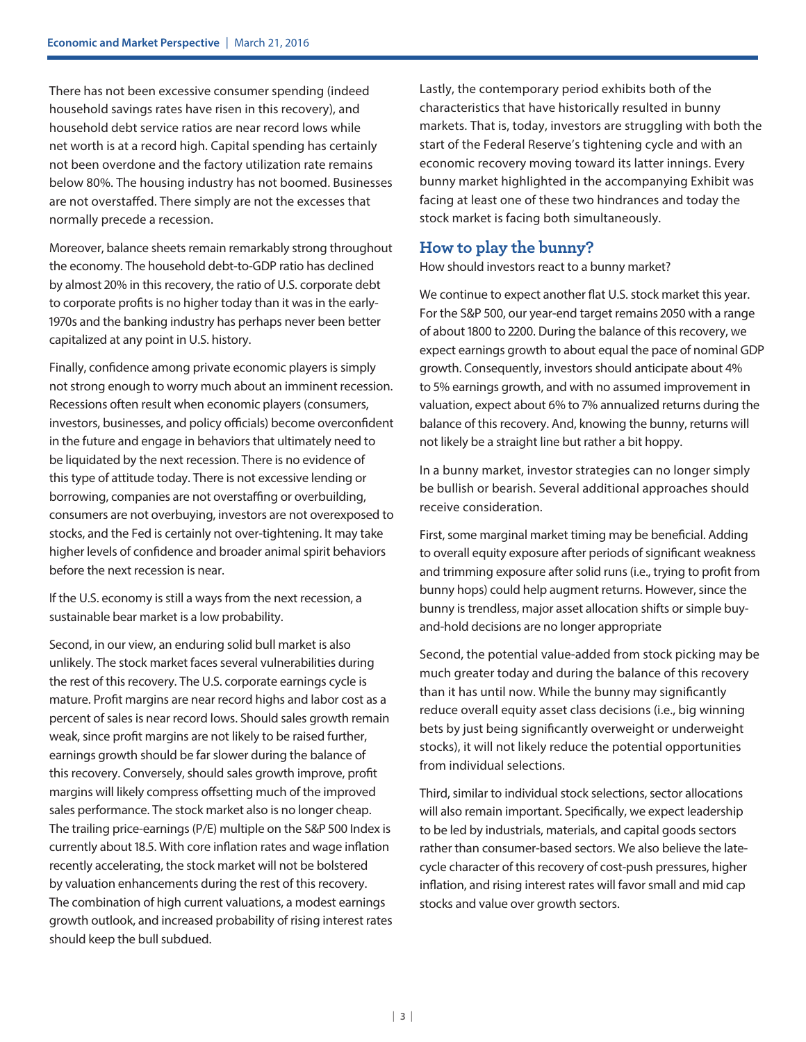There has not been excessive consumer spending (indeed household savings rates have risen in this recovery), and household debt service ratios are near record lows while net worth is at a record high. Capital spending has certainly not been overdone and the factory utilization rate remains below 80%. The housing industry has not boomed. Businesses are not overstaffed. There simply are not the excesses that normally precede a recession.

Moreover, balance sheets remain remarkably strong throughout the economy. The household debt-to-GDP ratio has declined by almost 20% in this recovery, the ratio of U.S. corporate debt to corporate profits is no higher today than it was in the early-1970s and the banking industry has perhaps never been better capitalized at any point in U.S. history.

Finally, confidence among private economic players is simply not strong enough to worry much about an imminent recession. Recessions often result when economic players (consumers, investors, businesses, and policy officials) become overconfident in the future and engage in behaviors that ultimately need to be liquidated by the next recession. There is no evidence of this type of attitude today. There is not excessive lending or borrowing, companies are not overstaffing or overbuilding, consumers are not overbuying, investors are not overexposed to stocks, and the Fed is certainly not over-tightening. It may take higher levels of confidence and broader animal spirit behaviors before the next recession is near.

If the U.S. economy is still a ways from the next recession, a sustainable bear market is a low probability.

Second, in our view, an enduring solid bull market is also unlikely. The stock market faces several vulnerabilities during the rest of this recovery. The U.S. corporate earnings cycle is mature. Profit margins are near record highs and labor cost as a percent of sales is near record lows. Should sales growth remain weak, since profit margins are not likely to be raised further, earnings growth should be far slower during the balance of this recovery. Conversely, should sales growth improve, profit margins will likely compress offsetting much of the improved sales performance. The stock market also is no longer cheap. The trailing price-earnings (P/E) multiple on the S&P 500 Index is currently about 18.5. With core inflation rates and wage inflation recently accelerating, the stock market will not be bolstered by valuation enhancements during the rest of this recovery. The combination of high current valuations, a modest earnings growth outlook, and increased probability of rising interest rates should keep the bull subdued.

Lastly, the contemporary period exhibits both of the characteristics that have historically resulted in bunny markets. That is, today, investors are struggling with both the start of the Federal Reserve's tightening cycle and with an economic recovery moving toward its latter innings. Every bunny market highlighted in the accompanying Exhibit was facing at least one of these two hindrances and today the stock market is facing both simultaneously.

### **How to play the bunny?**

How should investors react to a bunny market?

We continue to expect another flat U.S. stock market this year. For the S&P 500, our year-end target remains 2050 with a range of about 1800 to 2200. During the balance of this recovery, we expect earnings growth to about equal the pace of nominal GDP growth. Consequently, investors should anticipate about 4% to 5% earnings growth, and with no assumed improvement in valuation, expect about 6% to 7% annualized returns during the balance of this recovery. And, knowing the bunny, returns will not likely be a straight line but rather a bit hoppy.

In a bunny market, investor strategies can no longer simply be bullish or bearish. Several additional approaches should receive consideration.

First, some marginal market timing may be beneficial. Adding to overall equity exposure after periods of significant weakness and trimming exposure after solid runs (i.e., trying to profit from bunny hops) could help augment returns. However, since the bunny is trendless, major asset allocation shifts or simple buyand-hold decisions are no longer appropriate

Second, the potential value-added from stock picking may be much greater today and during the balance of this recovery than it has until now. While the bunny may significantly reduce overall equity asset class decisions (i.e., big winning bets by just being significantly overweight or underweight stocks), it will not likely reduce the potential opportunities from individual selections.

Third, similar to individual stock selections, sector allocations will also remain important. Specifically, we expect leadership to be led by industrials, materials, and capital goods sectors rather than consumer-based sectors. We also believe the latecycle character of this recovery of cost-push pressures, higher inflation, and rising interest rates will favor small and mid cap stocks and value over growth sectors.